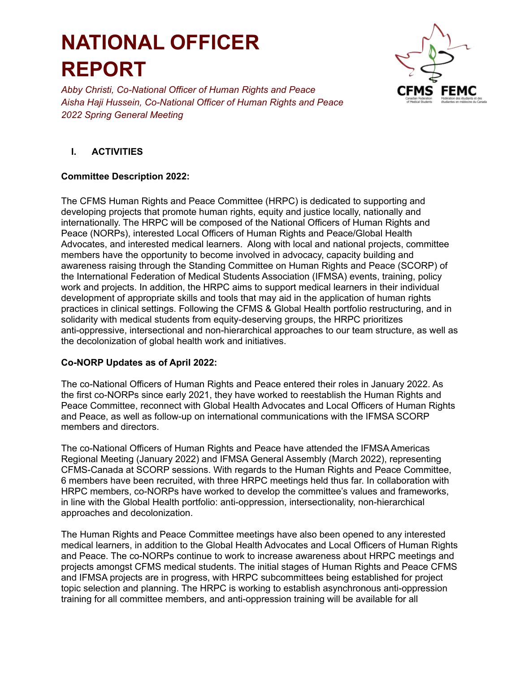

*Abby Christi, Co-National Officer of Human Rights and Peace Aisha Haji Hussein, Co-National Officer of Human Rights and Peace 2022 Spring General Meeting*

### **I. ACTIVITIES**

### **Committee Description 2022:**

The CFMS Human Rights and Peace Committee (HRPC) is dedicated to supporting and developing projects that promote human rights, equity and justice locally, nationally and internationally. The HRPC will be composed of the National Officers of Human Rights and Peace (NORPs), interested Local Officers of Human Rights and Peace/Global Health Advocates, and interested medical learners. Along with local and national projects, committee members have the opportunity to become involved in advocacy, capacity building and awareness raising through the Standing Committee on Human Rights and Peace (SCORP) of the International Federation of Medical Students Association (IFMSA) events, training, policy work and projects. In addition, the HRPC aims to support medical learners in their individual development of appropriate skills and tools that may aid in the application of human rights practices in clinical settings. Following the CFMS & Global Health portfolio restructuring, and in solidarity with medical students from equity-deserving groups, the HRPC prioritizes anti-oppressive, intersectional and non-hierarchical approaches to our team structure, as well as the decolonization of global health work and initiatives.

### **Co-NORP Updates as of April 2022:**

The co-National Officers of Human Rights and Peace entered their roles in January 2022. As the first co-NORPs since early 2021, they have worked to reestablish the Human Rights and Peace Committee, reconnect with Global Health Advocates and Local Officers of Human Rights and Peace, as well as follow-up on international communications with the IFMSA SCORP members and directors.

The co-National Officers of Human Rights and Peace have attended the IFMSA Americas Regional Meeting (January 2022) and IFMSA General Assembly (March 2022), representing CFMS-Canada at SCORP sessions. With regards to the Human Rights and Peace Committee, 6 members have been recruited, with three HRPC meetings held thus far. In collaboration with HRPC members, co-NORPs have worked to develop the committee's values and frameworks, in line with the Global Health portfolio: anti-oppression, intersectionality, non-hierarchical approaches and decolonization.

The Human Rights and Peace Committee meetings have also been opened to any interested medical learners, in addition to the Global Health Advocates and Local Officers of Human Rights and Peace. The co-NORPs continue to work to increase awareness about HRPC meetings and projects amongst CFMS medical students. The initial stages of Human Rights and Peace CFMS and IFMSA projects are in progress, with HRPC subcommittees being established for project topic selection and planning. The HRPC is working to establish asynchronous anti-oppression training for all committee members, and anti-oppression training will be available for all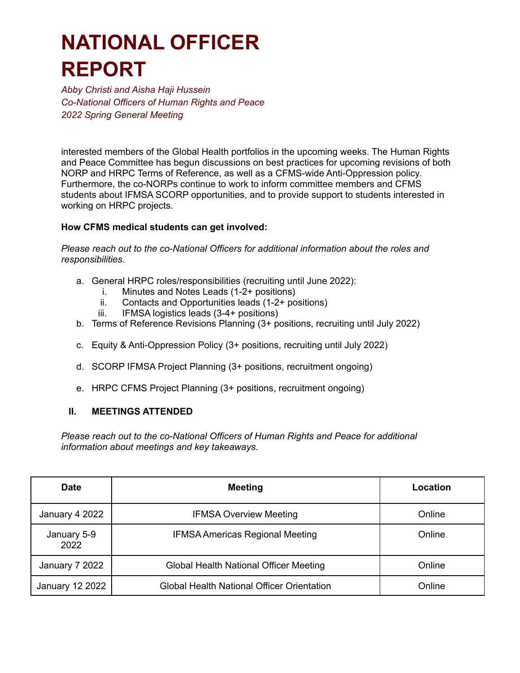*Abby Christi and Aisha Haji Hussein Co-National Officers of Human Rights and Peace 2022 Spring General Meeting*

interested members of the Global Health portfolios in the upcoming weeks. The Human Rights and Peace Committee has begun discussions on best practices for upcoming revisions of both NORP and HRPC Terms of Reference, as well as a CFMS-wide Anti-Oppression policy. Furthermore, the co-NORPs continue to work to inform committee members and CFMS students about IFMSA SCORP opportunities, and to provide support to students interested in working on HRPC projects.

#### **How CFMS medical students can get involved:**

*Please reach out to the co-National Officers for additional information about the roles and responsibilities.*

- a. General HRPC roles/responsibilities (recruiting until June 2022):
	- i. Minutes and Notes Leads (1-2+ positions)
	- ii. Contacts and Opportunities leads (1-2+ positions)
	- iii. IFMSA logistics leads (3-4+ positions)
- b. Terms of Reference Revisions Planning (3+ positions, recruiting until July 2022)
- c. Equity & Anti-Oppression Policy (3+ positions, recruiting until July 2022)
- d. SCORP IFMSA Project Planning (3+ positions, recruitment ongoing)
- e. HRPC CFMS Project Planning (3+ positions, recruitment ongoing)

#### **II. MEETINGS ATTENDED**

*Please reach out to the co-National Officers of Human Rights and Peace for additional information about meetings and key takeaways.*

| <b>Date</b>         | <b>Meeting</b>                                | Location |
|---------------------|-----------------------------------------------|----------|
| January 4 2022      | <b>IFMSA Overview Meeting</b>                 | Online   |
| January 5-9<br>2022 | <b>IFMSA Americas Regional Meeting</b>        | Online   |
| January 7 2022      | <b>Global Health National Officer Meeting</b> | Online   |
| January 12 2022     | Global Health National Officer Orientation    | Online   |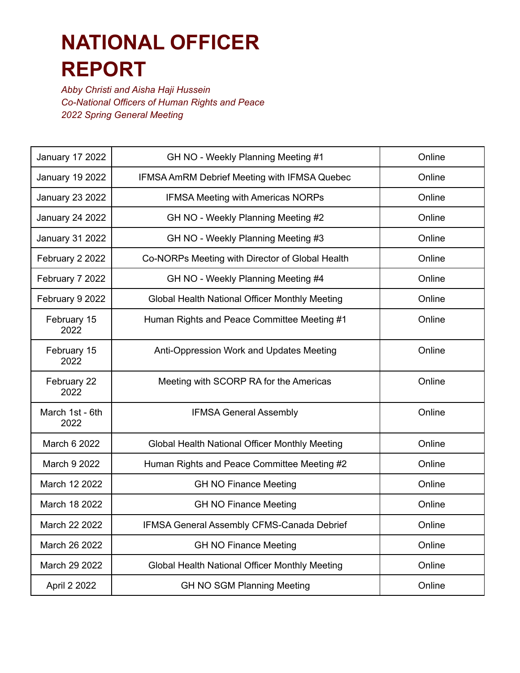*Abby Christi and Aisha Haji Hussein Co-National Officers of Human Rights and Peace 2022 Spring General Meeting*

| <b>January 17 2022</b>  | GH NO - Weekly Planning Meeting #1              | Online |
|-------------------------|-------------------------------------------------|--------|
| <b>January 19 2022</b>  | IFMSA AmRM Debrief Meeting with IFMSA Quebec    | Online |
| <b>January 23 2022</b>  | <b>IFMSA Meeting with Americas NORPs</b>        | Online |
| <b>January 24 2022</b>  | GH NO - Weekly Planning Meeting #2              | Online |
| <b>January 31 2022</b>  | GH NO - Weekly Planning Meeting #3              | Online |
| February 2 2022         | Co-NORPs Meeting with Director of Global Health | Online |
| February 7 2022         | GH NO - Weekly Planning Meeting #4              | Online |
| February 9 2022         | Global Health National Officer Monthly Meeting  | Online |
| February 15<br>2022     | Human Rights and Peace Committee Meeting #1     | Online |
| February 15<br>2022     | Anti-Oppression Work and Updates Meeting        | Online |
| February 22<br>2022     | Meeting with SCORP RA for the Americas          | Online |
| March 1st - 6th<br>2022 | <b>IFMSA General Assembly</b>                   | Online |
| March 6 2022            | Global Health National Officer Monthly Meeting  | Online |
| March 9 2022            | Human Rights and Peace Committee Meeting #2     | Online |
| March 12 2022           | <b>GH NO Finance Meeting</b>                    | Online |
| March 18 2022           | <b>GH NO Finance Meeting</b>                    | Online |
| March 22 2022           | IFMSA General Assembly CFMS-Canada Debrief      | Online |
| March 26 2022           | <b>GH NO Finance Meeting</b>                    | Online |
| March 29 2022           | Global Health National Officer Monthly Meeting  | Online |
| April 2 2022            | <b>GH NO SGM Planning Meeting</b>               | Online |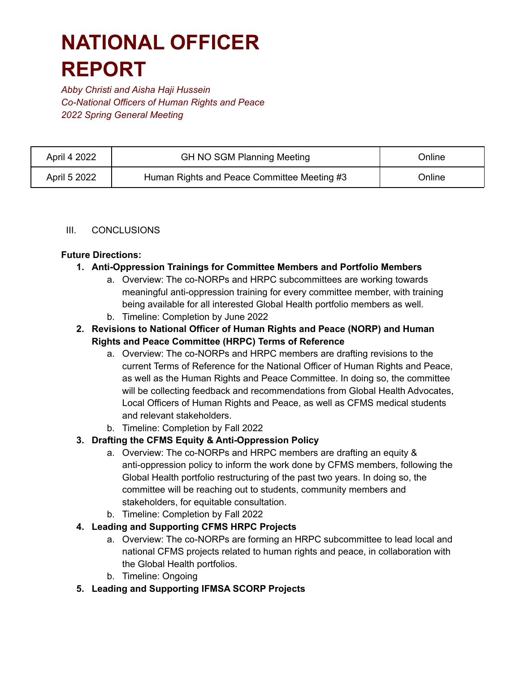*Abby Christi and Aisha Haji Hussein Co-National Officers of Human Rights and Peace 2022 Spring General Meeting*

| April 4 2022 | <b>GH NO SGM Planning Meeting</b>           | Online |
|--------------|---------------------------------------------|--------|
| April 5 2022 | Human Rights and Peace Committee Meeting #3 | Online |

#### III. CONCLUSIONS

#### **Future Directions:**

- **1. Anti-Oppression Trainings for Committee Members and Portfolio Members**
	- a. Overview: The co-NORPs and HRPC subcommittees are working towards meaningful anti-oppression training for every committee member, with training being available for all interested Global Health portfolio members as well.
	- b. Timeline: Completion by June 2022

### **2. Revisions to National Officer of Human Rights and Peace (NORP) and Human Rights and Peace Committee (HRPC) Terms of Reference**

- a. Overview: The co-NORPs and HRPC members are drafting revisions to the current Terms of Reference for the National Officer of Human Rights and Peace, as well as the Human Rights and Peace Committee. In doing so, the committee will be collecting feedback and recommendations from Global Health Advocates, Local Officers of Human Rights and Peace, as well as CFMS medical students and relevant stakeholders.
- b. Timeline: Completion by Fall 2022

### **3. Drafting the CFMS Equity & Anti-Oppression Policy**

- a. Overview: The co-NORPs and HRPC members are drafting an equity & anti-oppression policy to inform the work done by CFMS members, following the Global Health portfolio restructuring of the past two years. In doing so, the committee will be reaching out to students, community members and stakeholders, for equitable consultation.
- b. Timeline: Completion by Fall 2022

### **4. Leading and Supporting CFMS HRPC Projects**

- a. Overview: The co-NORPs are forming an HRPC subcommittee to lead local and national CFMS projects related to human rights and peace, in collaboration with the Global Health portfolios.
- b. Timeline: Ongoing
- **5. Leading and Supporting IFMSA SCORP Projects**